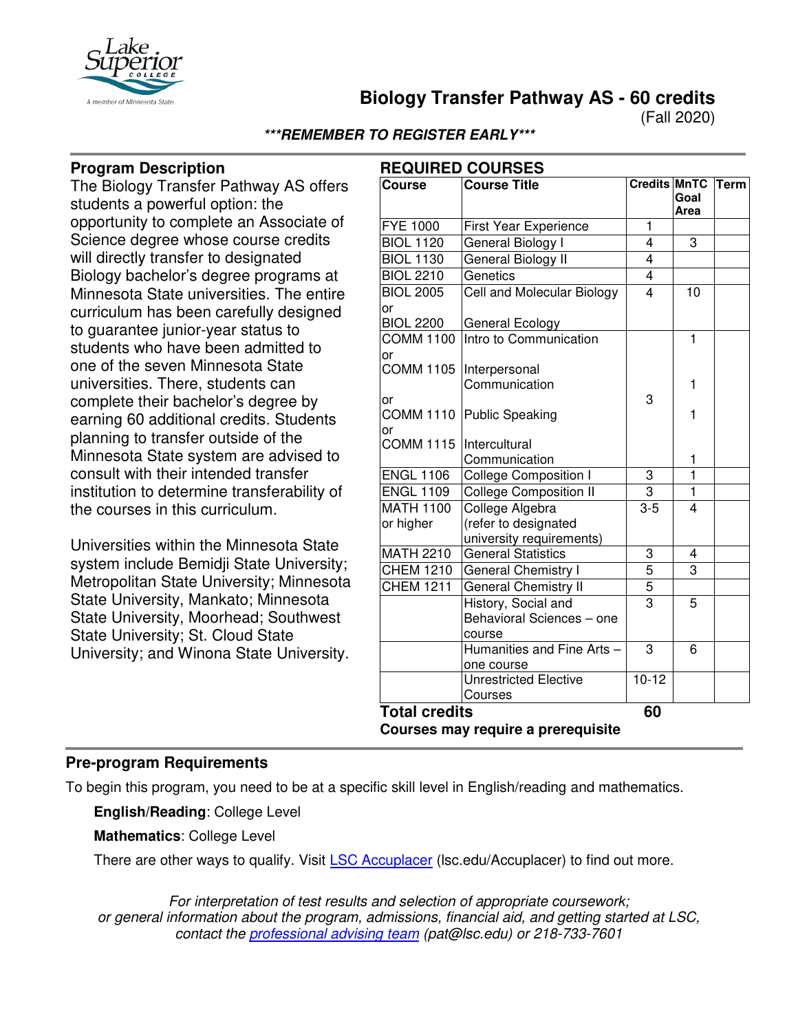

**Biology Transfer Pathway AS - 60 credits**

(Fall 2020)

## **\*\*\*REMEMBER TO REGISTER EARLY\*\*\***

## **Program Description**

The Biology Transfer Pathway AS offers students a powerful option: the opportunity to complete an Associate of Science degree whose course credits will directly transfer to designated Biology bachelor's degree programs at Minnesota State universities. The entire curriculum has been carefully designed to guarantee junior-year status to students who have been admitted to one of the seven Minnesota State universities. There, students can complete their bachelor's degree by earning 60 additional credits. Students planning to transfer outside of the Minnesota State system are advised to consult with their intended transfer institution to determine transferability of the courses in this curriculum.

Universities within the Minnesota State system include Bemidji State University; Metropolitan State University; Minnesota State University, Mankato; Minnesota State University, Moorhead; Southwest State University; St. Cloud State University; and Winona State University.

| <b>REQUIRED COURSES</b>            |                                    |                |                |             |  |  |
|------------------------------------|------------------------------------|----------------|----------------|-------------|--|--|
| <b>Course</b>                      | <b>Course Title</b>                | Credits MnTC   | Goal<br>Area   | <b>Term</b> |  |  |
| <b>FYE 1000</b>                    | <b>First Year Experience</b>       | 1              |                |             |  |  |
| <b>BIOL 1120</b>                   | General Biology I                  | 4              | $\overline{3}$ |             |  |  |
| <b>BIOL 1130</b>                   | General Biology II                 | $\overline{4}$ |                |             |  |  |
| <b>BIOL 2210</b>                   | Genetics                           | $\overline{4}$ |                |             |  |  |
| <b>BIOL 2005</b>                   | Cell and Molecular Biology         | 4              | 10             |             |  |  |
| or                                 |                                    |                |                |             |  |  |
| <b>BIOL 2200</b>                   | General Ecology                    |                |                |             |  |  |
| <b>COMM 1100</b>                   | Intro to Communication             |                | $\overline{1}$ |             |  |  |
| or                                 |                                    |                |                |             |  |  |
| <b>COMM 1105</b>                   | Interpersonal                      |                |                |             |  |  |
|                                    | Communication                      |                | 1              |             |  |  |
| or                                 |                                    | 3              |                |             |  |  |
|                                    | COMM 1110 Public Speaking          |                | 1              |             |  |  |
| or<br><b>COMM 1115</b>             | <i><u><b>Intercultural</b></u></i> |                |                |             |  |  |
|                                    | Communication                      |                | 1              |             |  |  |
| <b>ENGL 1106</b>                   | <b>College Composition I</b>       | 3              | $\overline{1}$ |             |  |  |
| <b>ENGL 1109</b>                   | <b>College Composition II</b>      | $\overline{3}$ | $\overline{1}$ |             |  |  |
| <b>MATH 1100</b>                   | College Algebra                    | $3-5$          | 4              |             |  |  |
| or higher                          | (refer to designated               |                |                |             |  |  |
|                                    | university requirements)           |                |                |             |  |  |
| <b>MATH 2210</b>                   | <b>General Statistics</b>          | 3              | 4              |             |  |  |
| <b>CHEM 1210</b>                   | <b>General Chemistry I</b>         | 5              | $\overline{3}$ |             |  |  |
| <b>CHEM 1211</b>                   | General Chemistry II               | 5              |                |             |  |  |
|                                    | History, Social and                | $\overline{3}$ | 5              |             |  |  |
|                                    | Behavioral Sciences - one          |                |                |             |  |  |
|                                    | course                             |                |                |             |  |  |
|                                    | Humanities and Fine Arts -         | 3              | 6              |             |  |  |
|                                    | one course                         |                |                |             |  |  |
|                                    | <b>Unrestricted Elective</b>       | $10 - 12$      |                |             |  |  |
|                                    | Courses                            |                |                |             |  |  |
| <b>Total credits</b>               |                                    | 60             |                |             |  |  |
| Courses may require a prerequisite |                                    |                |                |             |  |  |
|                                    |                                    |                |                |             |  |  |

# **Pre-program Requirements**

To begin this program, you need to be at a specific skill level in English/reading and mathematics.

**English/Reading**: College Level

**Mathematics**: College Level

There are other ways to qualify. Visit [LSC Accuplacer](https://www.lsc.edu/accuplacer/) (Isc.edu/Accuplacer) to find out more.

*For interpretation of test results and selection of appropriate coursework; or general information about the program, admissions, financial aid, and getting started at LSC, contact the [professional advising team](mailto:pat@lsc.edu) (pat@lsc.edu) or 218-733-7601*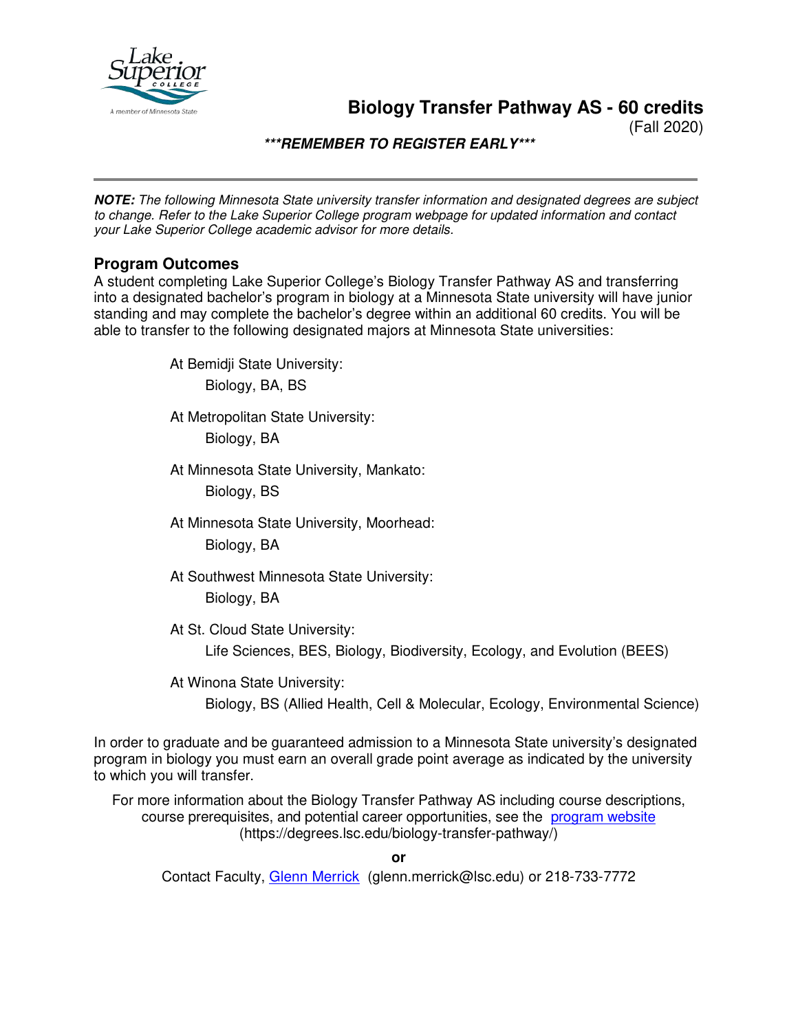

**Biology Transfer Pathway AS - 60 credits**

(Fall 2020)

**\*\*\*REMEMBER TO REGISTER EARLY\*\*\***

**NOTE:** *The following Minnesota State university transfer information and designated degrees are subject to change. Refer to the Lake Superior College program webpage for updated information and contact your Lake Superior College academic advisor for more details.*

## **Program Outcomes**

A student completing Lake Superior College's Biology Transfer Pathway AS and transferring into a designated bachelor's program in biology at a Minnesota State university will have junior standing and may complete the bachelor's degree within an additional 60 credits. You will be able to transfer to the following designated majors at Minnesota State universities:

At Bemidji State University:

Biology, BA, BS

At Metropolitan State University:

Biology, BA

At Minnesota State University, Mankato:

Biology, BS

At Minnesota State University, Moorhead:

Biology, BA

At Southwest Minnesota State University: Biology, BA

At St. Cloud State University:

Life Sciences, BES, Biology, Biodiversity, Ecology, and Evolution (BEES)

At Winona State University:

Biology, BS (Allied Health, Cell & Molecular, Ecology, Environmental Science)

In order to graduate and be guaranteed admission to a Minnesota State university's designated program in biology you must earn an overall grade point average as indicated by the university to which you will transfer.

For more information about the Biology Transfer Pathway AS including course descriptions, course prerequisites, and potential career opportunities, see the [program website](https://degrees.lsc.edu/biology-transfer-pathway/) (https://degrees.lsc.edu/biology-transfer-pathway/)

**or**

Contact Faculty, [Glenn Merrick](mailto:glenn.merrick@lsc.edu) (glenn.merrick@lsc.edu) or 218-733-7772